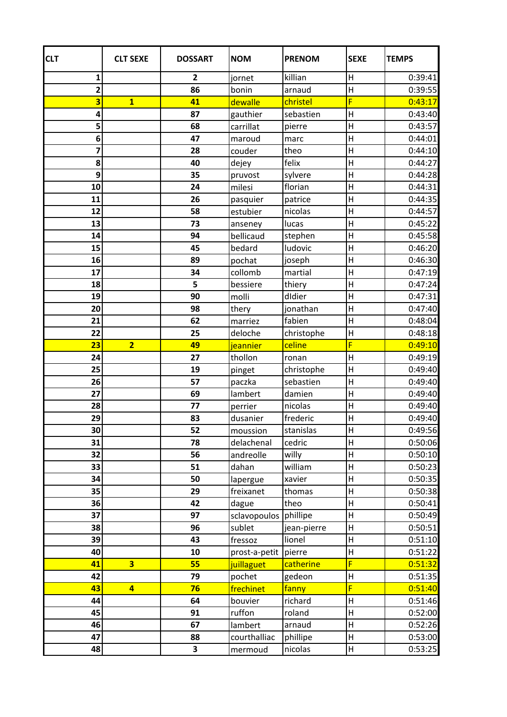| <b>CLT</b>              | <b>CLT SEXE</b>         | <b>DOSSART</b>          | <b>NOM</b>            | <b>PRENOM</b>     | <b>SEXE</b>               | <b>TEMPS</b>       |
|-------------------------|-------------------------|-------------------------|-----------------------|-------------------|---------------------------|--------------------|
| 1                       |                         | $\overline{\mathbf{2}}$ | jornet                | killian           | $\sf H$                   | 0:39:41            |
| $\overline{\mathbf{2}}$ |                         | 86                      | bonin                 | arnaud            | $\overline{H}$            | 0:39:55            |
| 3                       | $\overline{\mathbf{1}}$ | 41                      | dewalle               | christel          | F                         | 0:43:17            |
| 4                       |                         | 87                      | gauthier              | sebastien         | H                         | 0:43:40            |
| 5                       |                         | 68                      | carrillat             | pierre            | H                         | 0:43:57            |
| 6                       |                         | 47                      | maroud                | marc              | H                         | 0:44:01            |
| 7                       |                         | 28                      | couder                | theo              | H                         | 0:44:10            |
| 8                       |                         | 40                      | dejey                 | felix             | $\mathsf{H}$              | 0:44:27            |
| 9                       |                         | 35                      | pruvost               | sylvere           | H                         | 0:44:28            |
| 10                      |                         | 24                      | milesi                | florian           | H                         | 0:44:31            |
| 11                      |                         | 26                      | pasquier              | patrice           | $\overline{\mathsf{H}}$   | 0:44:35            |
| 12                      |                         | 58                      | estubier              | nicolas           | H                         | 0:44:57            |
| 13                      |                         | 73                      | anseney               | lucas             | H                         | 0:45:22            |
| 14                      |                         | 94                      | bellicaud             | stephen           | H                         | 0:45:58            |
| 15                      |                         | 45                      | bedard                | ludovic           | H                         | 0:46:20            |
| 16                      |                         | 89                      | pochat                | joseph            | $\boldsymbol{\mathsf{H}}$ | 0:46:30            |
| 17                      |                         | 34                      | collomb               | martial           | H                         | 0:47:19            |
| 18                      |                         | 5                       | bessiere              | thiery            | $\sf H$                   | 0:47:24            |
| 19                      |                         | 90                      | molli                 | didier            | H                         | 0:47:31            |
| 20                      |                         | 98                      | thery                 | jonathan          | H                         | 0:47:40            |
| 21                      |                         | 62                      | marriez               | fabien            | $\boldsymbol{\mathsf{H}}$ | 0:48:04            |
| 22                      |                         | 25                      | deloche               | christophe        | $\sf H$                   | 0:48:18            |
| 23                      | $\overline{2}$          | 49                      | jeannier              | celine            | F                         | 0:49:10            |
| 24                      |                         | 27                      | thollon               | ronan             | H                         | 0:49:19            |
| 25                      |                         | 19                      | pinget                | christophe        | H                         | 0:49:40            |
| 26                      |                         | 57                      | paczka                | sebastien         | $\boldsymbol{\mathsf{H}}$ | 0:49:40            |
| 27                      |                         | 69                      | lambert               | damien            | $\sf H$                   | 0:49:40            |
| 28                      |                         | 77                      | perrier               | nicolas           | $\sf H$                   | 0:49:40            |
| 29                      |                         | 83                      | dusanier              | frederic          | $\mathsf{H}$              | 0:49:40            |
| 30 <sub>2</sub>         |                         | 52                      | moussion              | stanislas         | $\boldsymbol{\mathsf{H}}$ | 0:49:56            |
| 31<br>32                |                         | 78                      | delachenal            | cedric            | $\sf H$                   | 0:50:06            |
|                         |                         | 56                      | andreolle             | willy             | H                         | 0:50:10            |
| 33<br>34                |                         | 51<br>50                | dahan                 | william<br>xavier | $\sf H$<br>H              | 0:50:23<br>0:50:35 |
| 35                      |                         | 29                      | lapergue<br>freixanet | thomas            | $\mathsf{H}$              | 0:50:38            |
| 36                      |                         | 42                      | dague                 | theo              | $\sf H$                   | 0:50:41            |
| 37                      |                         | 97                      | sclavopoulos          | phillipe          | $\sf H$                   | 0:50:49            |
| 38                      |                         | 96                      | sublet                | jean-pierre       | H                         | 0:50:51            |
| 39                      |                         | 43                      | fressoz               | lionel            | H                         | 0:51:10            |
| 40                      |                         | 10                      | prost-a-petit         | pierre            | $\sf H$                   | 0:51:22            |
| 41                      | $\overline{\mathbf{3}}$ | 55                      | juillaguet            | catherine         | F                         | 0:51:32            |
| 42                      |                         | 79                      | pochet                | gedeon            | $\sf H$                   | 0:51:35            |
| 43                      | $\overline{4}$          | 76                      | frechinet             | fanny             | F                         | 0:51:40            |
| 44                      |                         | 64                      | bouvier               | richard           | $\mathsf{H}$              | 0:51:46            |
| 45                      |                         | 91                      | ruffon                | roland            | $\sf H$                   | 0:52:00            |
| 46                      |                         | 67                      | lambert               | arnaud            | $\sf H$                   | 0:52:26            |
| 47                      |                         | 88                      | courthalliac          | phillipe          | H                         | 0:53:00            |
| 48                      |                         | 3                       | mermoud               | nicolas           | H                         | 0:53:25            |
|                         |                         |                         |                       |                   |                           |                    |